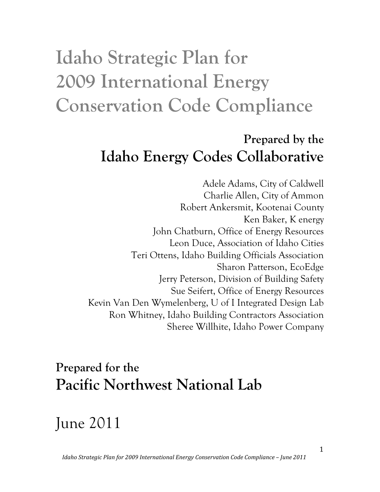# **Idaho Strategic Plan for 2009 International Energy Conservation Code Compliance**

## **Prepared by the Idaho Energy Codes Collaborative**

Adele Adams, City of Caldwell Charlie Allen, City of Ammon Robert Ankersmit, Kootenai County Ken Baker, K energy John Chatburn, Office of Energy Resources Leon Duce, Association of Idaho Cities Teri Ottens, Idaho Building Officials Association Sharon Patterson, EcoEdge Jerry Peterson, Division of Building Safety Sue Seifert, Office of Energy Resources Kevin Van Den Wymelenberg, U of I Integrated Design Lab Ron Whitney, Idaho Building Contractors Association Sheree Willhite, Idaho Power Company

## **Prepared for the Pacific Northwest National Lab**

## June 2011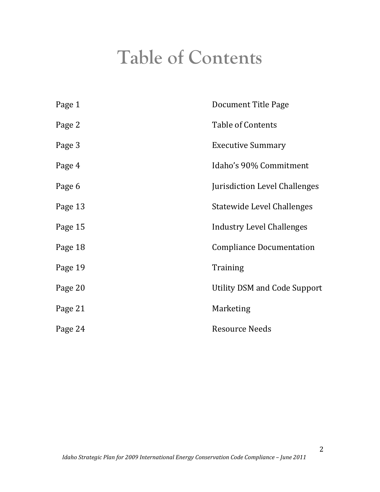# **Table of Contents**

| Page 1  | Document Title Page              |
|---------|----------------------------------|
| Page 2  | <b>Table of Contents</b>         |
| Page 3  | <b>Executive Summary</b>         |
| Page 4  | Idaho's 90% Commitment           |
| Page 6  | Jurisdiction Level Challenges    |
| Page 13 | Statewide Level Challenges       |
| Page 15 | <b>Industry Level Challenges</b> |
| Page 18 | <b>Compliance Documentation</b>  |
| Page 19 | Training                         |
| Page 20 | Utility DSM and Code Support     |
| Page 21 | Marketing                        |
| Page 24 | <b>Resource Needs</b>            |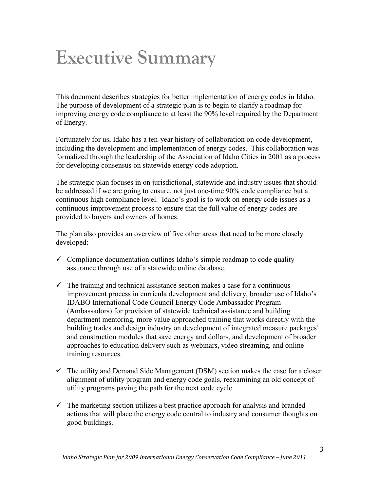# **Executive Summary**

This document describes strategies for better implementation of energy codes in Idaho. The purpose of development of a strategic plan is to begin to clarify a roadmap for improving energy code compliance to at least the 90% level required by the Department of Energy.

Fortunately for us, Idaho has a ten-year history of collaboration on code development, including the development and implementation of energy codes. This collaboration was formalized through the leadership of the Association of Idaho Cities in 2001 as a process for developing consensus on statewide energy code adoption.

The strategic plan focuses in on jurisdictional, statewide and industry issues that should be addressed if we are going to ensure, not just one-time 90% code compliance but a continuous high compliance level. Idaho's goal is to work on energy code issues as a continuous improvement process to ensure that the full value of energy codes are provided to buyers and owners of homes.

The plan also provides an overview of five other areas that need to be more closely developed:

- $\checkmark$  Compliance documentation outlines Idaho's simple roadmap to code quality assurance through use of a statewide online database.
- $\checkmark$  The training and technical assistance section makes a case for a continuous improvement process in curricula development and delivery, broader use of Idaho's IDABO International Code Council Energy Code Ambassador Program (Ambassadors) for provision of statewide technical assistance and building department mentoring, more value approached training that works directly with the bu[i](#page-25-0)lding trades and design industry on development of integrated measure packages<sup>i</sup> and construction modules that save energy and dollars, and development of broader approaches to education delivery such as webinars, video streaming, and online training resources.
- $\checkmark$  The utility and Demand Side Management (DSM) section makes the case for a closer alignment of utility program and energy code goals, reexamining an old concept of utility programs paving the path for the next code cycle.
- $\checkmark$  The marketing section utilizes a best practice approach for analysis and branded actions that will place the energy code central to industry and consumer thoughts on good buildings.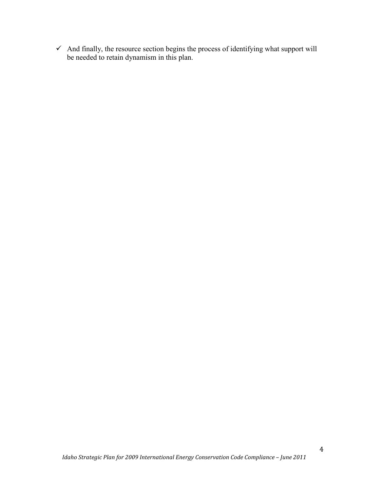$\checkmark$  And finally, the resource section begins the process of identifying what support will be needed to retain dynamism in this plan.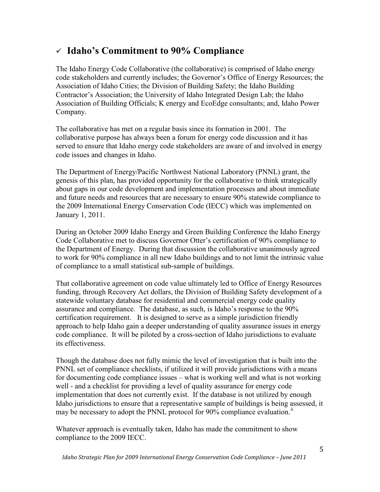## **Idaho's Commitment to 90% Compliance**

The Idaho Energy Code Collaborative (the collaborative) is comprised of Idaho energy code stakeholders and currently includes; the Governor's Office of Energy Resources; the Association of Idaho Cities; the Division of Building Safety; the Idaho Building Contractor's Association; the University of Idaho Integrated Design Lab; the Idaho Association of Building Officials; K energy and EcoEdge consultants; and, Idaho Power Company.

The collaborative has met on a regular basis since its formation in 2001. The collaborative purpose has always been a forum for energy code discussion and it has served to ensure that Idaho energy code stakeholders are aware of and involved in energy code issues and changes in Idaho.

The Department of Energy/Pacific Northwest National Laboratory (PNNL) grant, the genesis of this plan, has provided opportunity for the collaborative to think strategically about gaps in our code development and implementation processes and about immediate and future needs and resources that are necessary to ensure 90% statewide compliance to the 2009 International Energy Conservation Code (IECC) which was implemented on January 1, 2011.

During an October 2009 Idaho Energy and Green Building Conference the Idaho Energy Code Collaborative met to discuss Governor Otter's certification of 90% compliance to the Department of Energy. During that discussion the collaborative unanimously agreed to work for 90% compliance in all new Idaho buildings and to not limit the intrinsic value of compliance to a small statistical sub-sample of buildings.

That collaborative agreement on code value ultimately led to Office of Energy Resources funding, through Recovery Act dollars, the Division of Building Safety development of a statewide voluntary database for residential and commercial energy code quality assurance and compliance. The database, as such, is Idaho's response to the 90% certification requirement. It is designed to serve as a simple jurisdiction friendly approach to help Idaho gain a deeper understanding of quality assurance issues in energy code compliance. It will be piloted by a cross-section of Idaho jurisdictions to evaluate its effectiveness.

Though the database does not fully mimic the level of investigation that is built into the PNNL set of compliance checklists, if utilized it will provide jurisdictions with a means for documenting code compliance issues – what is working well and what is not working well - and a checklist for providing a level of quality assurance for energy code implementation that does not currently exist. If the database is not utilized by enough Idaho jurisdictions to ensure that a representative sample of buildings is being assessed, it may be necessary to adopt the PNNL protocol for 90% compliance evaluation.<sup>11</sup>

Whatever approach is eventually taken, Idaho has made the commitment to show compliance to the 2009 IECC.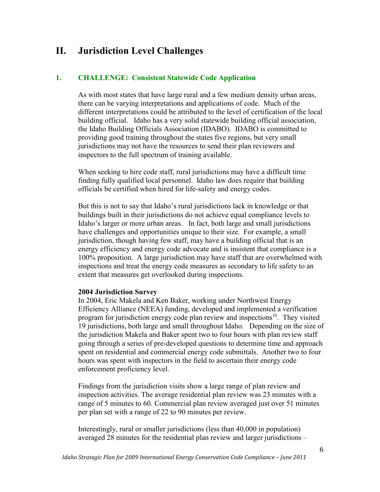### **II. Jurisdiction Level Challenges**

#### **1. CHALLENGE: Consistent Statewide Code Application**

As with most states that have large rural and a few medium density urban areas, there can be varying interpretations and applications of code. Much of the different interpretations could be attributed to the level of certification of the local building official. Idaho has a very solid statewide building official association, the Idaho Building Officials Association (IDABO). IDABO is committed to providing good training throughout the states five regions, but very small jurisdictions may not have the resources to send their plan reviewers and inspectors to the full spectrum of training available.

When seeking to hire code staff, rural jurisdictions may have a difficult time finding fully qualified local personnel. Idaho law does require that building officials be certified when hired for life-safety and energy codes.

But this is not to say that Idaho's rural jurisdictions lack in knowledge or that buildings built in their jurisdictions do not achieve equal compliance levels to Idaho's larger or more urban areas. In fact, both large and small jurisdictions have challenges and opportunities unique to their size. For example, a small jurisdiction, though having few staff, may have a building official that is an energy efficiency and energy code advocate and is insistent that compliance is a 100% proposition. A large jurisdiction may have staff that are overwhelmed with inspections and treat the energy code measures as secondary to life safety to an extent that measures get overlooked during inspections.

#### **2004 Jurisdiction Survey**

In 2004, Eric Makela and Ken Baker, working under Northwest Energy Efficiency Alliance (NEEA) funding, developed and implemented a verification program for jurisdiction energy code plan review and inspections<sup>iii</sup>. They visited 19 jurisdictions, both large and small throughout Idaho. Depending on the size of the jurisdiction Makela and Baker spent two to four hours with plan review staff going through a series of pre-developed questions to determine time and approach spent on residential and commercial energy code submittals. Another two to four hours was spent with inspectors in the field to ascertain their energy code enforcement proficiency level.

Findings from the jurisdiction visits show a large range of plan review and inspection activities. The average residential plan review was 23 minutes with a range of 5 minutes to 60. Commercial plan review averaged just over 51 minutes per plan set with a range of 22 to 90 minutes per review.

Interestingly, rural or smaller jurisdictions (less than 40,000 in population) averaged 28 minutes for the residential plan review and larger jurisdictions –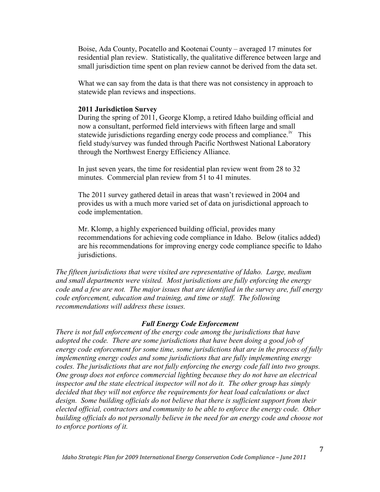Boise, Ada County, Pocatello and Kootenai County – averaged 17 minutes for residential plan review. Statistically, the qualitative difference between large and small jurisdiction time spent on plan review cannot be derived from the data set.

What we can say from the data is that there was not consistency in approach to statewide plan reviews and inspections.

#### **2011 Jurisdiction Survey**

During the spring of 2011, George Klomp, a retired Idaho building official and now a consultant, performed field interviews with fifteen large and small statewide jurisdictions regarding energy code process and compliance.<sup>[iv](#page-25-3)</sup> This field study/survey was funded through Pacific Northwest National Laboratory through the Northwest Energy Efficiency Alliance.

In just seven years, the time for residential plan review went from 28 to 32 minutes. Commercial plan review from 51 to 41 minutes.

The 2011 survey gathered detail in areas that wasn't reviewed in 2004 and provides us with a much more varied set of data on jurisdictional approach to code implementation.

Mr. Klomp, a highly experienced building official, provides many recommendations for achieving code compliance in Idaho. Below (italics added) are his recommendations for improving energy code compliance specific to Idaho jurisdictions.

*The fifteen jurisdictions that were visited are representative of Idaho. Large, medium and small departments were visited. Most jurisdictions are fully enforcing the energy code and a few are not. The major issues that are identified in the survey are, full energy code enforcement, education and training, and time or staff. The following recommendations will address these issues.*

#### *Full Energy Code Enforcement*

*There is not full enforcement of the energy code among the jurisdictions that have adopted the code. There are some jurisdictions that have been doing a good job of energy code enforcement for some time, some jurisdictions that are in the process of fully implementing energy codes and some jurisdictions that are fully implementing energy codes. The jurisdictions that are not fully enforcing the energy code fall into two groups. One group does not enforce commercial lighting because they do not have an electrical inspector and the state electrical inspector will not do it. The other group has simply decided that they will not enforce the requirements for heat load calculations or duct design. Some building officials do not believe that there is sufficient support from their elected official, contractors and community to be able to enforce the energy code. Other*  building officials do not personally believe in the need for an energy code and choose not *to enforce portions of it.*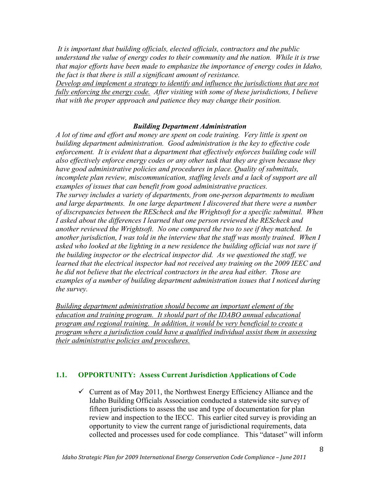*It is important that building officials, elected officials, contractors and the public understand the value of energy codes to their community and the nation. While it is true that major efforts have been made to emphasize the importance of energy codes in Idaho, the fact is that there is still a significant amount of resistance.*

*Develop and implement a strategy to identify and influence the jurisdictions that are not fully enforcing the energy code. After visiting with some of these jurisdictions, I believe that with the proper approach and patience they may change their position.*

#### *Building Department Administration*

*A lot of time and effort and money are spent on code training. Very little is spent on building department administration. Good administration is the key to effective code*  enforcement. It is evident that a department that effectively enforces building code will *also effectively enforce energy codes or any other task that they are given because they have good administrative policies and procedures in place. Quality of submittals, incomplete plan review, miscommunication, staffing levels and a lack of support are all examples of issues that can benefit from good administrative practices. The survey includes a variety of departments, from one-person departments to medium and large departments. In one large department I discovered that there were a number of discrepancies between the REScheck and the Wrightsoft for a specific submittal. When I asked about the differences I learned that one person reviewed the REScheck and another reviewed the Wrightsoft. No one compared the two to see if they matched. In another jurisdiction, I was told in the interview that the staff was mostly trained. When I*  asked who looked at the lighting in a new residence the building official was not sure if *the building inspector or the electrical inspector did. As we questioned the staff, we learned that the electrical inspector had not received any training on the 2009 IEEC and he did not believe that the electrical contractors in the area had either. Those are examples of a number of building department administration issues that I noticed during the survey.* 

*Building department administration should become an important element of the education and training program. It should part of the IDABO annual educational program and regional training. In addition, it would be very beneficial to create a program where a jurisdiction could have a qualified individual assist them in assessing their administrative policies and procedures.* 

#### **1.1. OPPORTUNITY: Assess Current Jurisdiction Applications of Code**

 $\checkmark$  Current as of May 2011, the Northwest Energy Efficiency Alliance and the Idaho Building Officials Association conducted a statewide site survey of fifteen jurisdictions to assess the use and type of documentation for plan review and inspection to the IECC. This earlier cited survey is providing an opportunity to view the current range of jurisdictional requirements, data collected and processes used for code compliance. This "dataset" will inform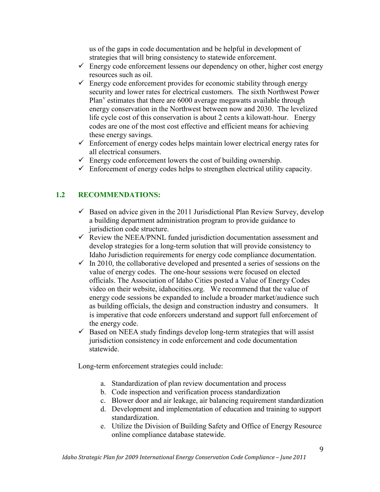us of the gaps in code documentation and be helpful in development of strategies that will bring consistency to statewide enforcement.

- $\checkmark$  Energy code enforcement lessens our dependency on other, higher cost energy resources such as oil.
- $\checkmark$  Energy code enforcement provides for economic stability through energy security and lower rates for electrical customers. The sixth Northwest Power Plan<sup>[v](#page-25-4)</sup> estimates that there are  $6000$  average megawatts available through energy conservation in the Northwest between now and 2030. The levelized life cycle cost of this conservation is about 2 cents a kilowatt-hour. Energy codes are one of the most cost effective and efficient means for achieving these energy savings.
- $\checkmark$  Enforcement of energy codes helps maintain lower electrical energy rates for all electrical consumers.
- $\checkmark$  Energy code enforcement lowers the cost of building ownership.
- $\checkmark$  Enforcement of energy codes helps to strengthen electrical utility capacity.

#### **1.2 RECOMMENDATIONS:**

- $\checkmark$  Based on advice given in the 2011 Jurisdictional Plan Review Survey, develop a building department administration program to provide guidance to jurisdiction code structure.
- $\checkmark$  Review the NEEA/PNNL funded jurisdiction documentation assessment and develop strategies for a long-term solution that will provide consistency to Idaho Jurisdiction requirements for energy code compliance documentation.
- $\checkmark$  In 2010, the collaborative developed and presented a series of sessions on the value of energy codes. The one-hour sessions were focused on elected officials. The Association of Idaho Cities posted a Value of Energy Codes video on their website, idahocities.org. We recommend that the value of energy code sessions be expanded to include a broader market/audience such as building officials, the design and construction industry and consumers. It is imperative that code enforcers understand and support full enforcement of the energy code.
- $\checkmark$  Based on NEEA study findings develop long-term strategies that will assist jurisdiction consistency in code enforcement and code documentation statewide.

Long-term enforcement strategies could include:

- a. Standardization of plan review documentation and process
- b. Code inspection and verification process standardization
- c. Blower door and air leakage, air balancing requirement standardization
- d. Development and implementation of education and training to support standardization.
- e. Utilize the Division of Building Safety and Office of Energy Resource online compliance database statewide.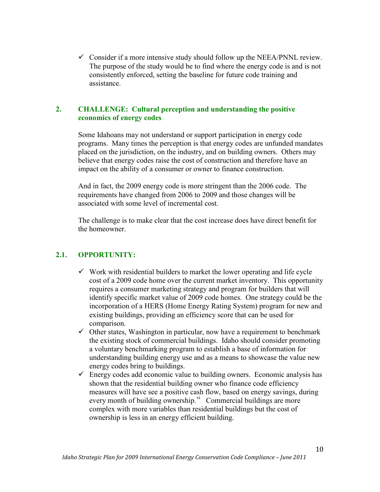$\checkmark$  Consider if a more intensive study should follow up the NEEA/PNNL review. The purpose of the study would be to find where the energy code is and is not consistently enforced, setting the baseline for future code training and assistance.

#### **2. CHALLENGE: Cultural perception and understanding the positive economics of energy codes**

Some Idahoans may not understand or support participation in energy code programs. Many times the perception is that energy codes are unfunded mandates placed on the jurisdiction, on the industry, and on building owners. Others may believe that energy codes raise the cost of construction and therefore have an impact on the ability of a consumer or owner to finance construction.

And in fact, the 2009 energy code is more stringent than the 2006 code. The requirements have changed from 2006 to 2009 and those changes will be associated with some level of incremental cost.

The challenge is to make clear that the cost increase does have direct benefit for the homeowner.

#### **2.1. OPPORTUNITY:**

- $\checkmark$  Work with residential builders to market the lower operating and life cycle cost of a 2009 code home over the current market inventory. This opportunity requires a consumer marketing strategy and program for builders that will identify specific market value of 2009 code homes. One strategy could be the incorporation of a HERS (Home Energy Rating System) program for new and existing buildings, providing an efficiency score that can be used for comparison.
- $\checkmark$  Other states, Washington in particular, now have a requirement to benchmark the existing stock of commercial buildings. Idaho should consider promoting a voluntary benchmarking program to establish a base of information for understanding building energy use and as a means to showcase the value new energy codes bring to buildings.
- $\checkmark$  Energy codes add economic value to building owners. Economic analysis has shown that the residential building owner who finance code efficiency measures will have see a positive cash flow, based on energy savings, during every month of building ownership. $\overline{v}$  Commercial buildings are more complex with more variables than residential buildings but the cost of ownership is less in an energy efficient building.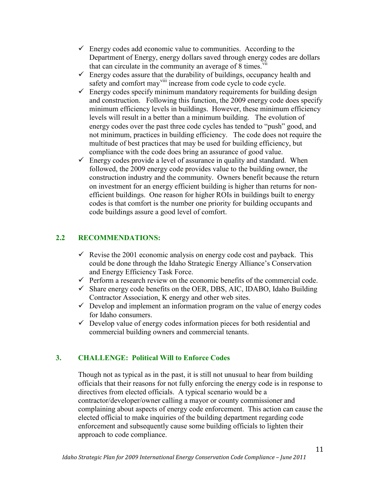- $\checkmark$  Energy codes add economic value to communities. According to the Department of Energy, energy dollars saved through energy codes are dollars that can circulate in the community an average of  $8 \times \text{times}$ .
- $\checkmark$  Energy codes assure that the durability of buildings, occupancy health and safety and comfort may<sup>[viii](#page-25-4)</sup> increase from code cycle to code cycle.
- $\checkmark$  Energy codes specify minimum mandatory requirements for building design and construction. Following this function, the 2009 energy code does specify minimum efficiency levels in buildings. However, these minimum efficiency levels will result in a better than a minimum building. The evolution of energy codes over the past three code cycles has tended to "push" good, and not minimum, practices in building efficiency. The code does not require the multitude of best practices that may be used for building efficiency, but compliance with the code does bring an assurance of good value.
- $\checkmark$  Energy codes provide a level of assurance in quality and standard. When followed, the 2009 energy code provides value to the building owner, the construction industry and the community. Owners benefit because the return on investment for an energy efficient building is higher than returns for nonefficient buildings. One reason for higher ROIs in buildings built to energy codes is that comfort is the number one priority for building occupants and code buildings assure a good level of comfort.

#### **2.2 RECOMMENDATIONS:**

- $\checkmark$  Revise the 2001 economic analysis on energy code cost and payback. This could be done through the Idaho Strategic Energy Alliance's Conservation and Energy Efficiency Task Force.
- $\checkmark$  Perform a research review on the economic benefits of the commercial code.
- $\checkmark$  Share energy code benefits on the OER, DBS, AIC, IDABO, Idaho Building Contractor Association, K energy and other web sites.
- $\checkmark$  Develop and implement an information program on the value of energy codes for Idaho consumers.
- $\checkmark$  Develop value of energy codes information pieces for both residential and commercial building owners and commercial tenants.

#### **3. CHALLENGE: Political Will to Enforce Codes**

Though not as typical as in the past, it is still not unusual to hear from building officials that their reasons for not fully enforcing the energy code is in response to directives from elected officials. A typical scenario would be a contractor/developer/owner calling a mayor or county commissioner and complaining about aspects of energy code enforcement. This action can cause the elected official to make inquiries of the building department regarding code enforcement and subsequently cause some building officials to lighten their approach to code compliance.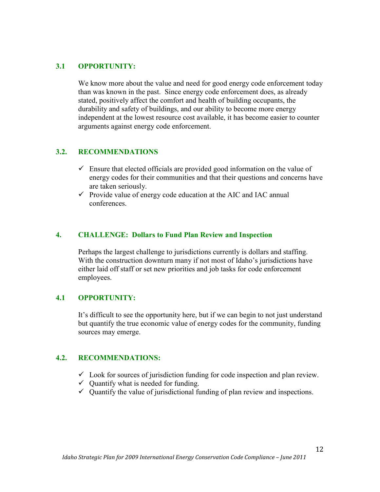#### **3.1 OPPORTUNITY:**

We know more about the value and need for good energy code enforcement today than was known in the past. Since energy code enforcement does, as already stated, positively affect the comfort and health of building occupants, the durability and safety of buildings, and our ability to become more energy independent at the lowest resource cost available, it has become easier to counter arguments against energy code enforcement.

#### **3.2. RECOMMENDATIONS**

- $\checkmark$  Ensure that elected officials are provided good information on the value of energy codes for their communities and that their questions and concerns have are taken seriously.
- $\checkmark$  Provide value of energy code education at the AIC and IAC annual conferences.

#### **4. CHALLENGE: Dollars to Fund Plan Review and Inspection**

Perhaps the largest challenge to jurisdictions currently is dollars and staffing. With the construction downturn many if not most of Idaho's jurisdictions have either laid off staff or set new priorities and job tasks for code enforcement employees.

#### **4.1 OPPORTUNITY:**

It's difficult to see the opportunity here, but if we can begin to not just understand but quantify the true economic value of energy codes for the community, funding sources may emerge.

#### **4.2. RECOMMENDATIONS:**

- $\checkmark$  Look for sources of jurisdiction funding for code inspection and plan review.
- $\checkmark$  Ouantify what is needed for funding.
- $\checkmark$  Ouantify the value of jurisdictional funding of plan review and inspections.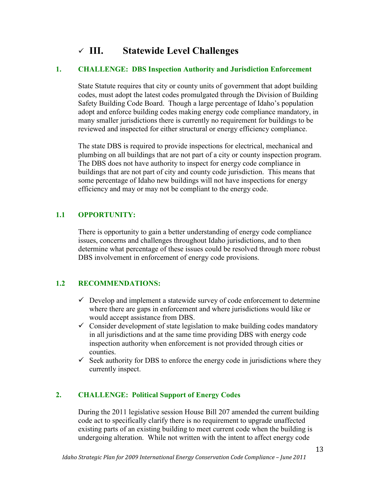## **III. Statewide Level Challenges**

#### **1. CHALLENGE: DBS Inspection Authority and Jurisdiction Enforcement**

State Statute requires that city or county units of government that adopt building codes, must adopt the latest codes promulgated through the Division of Building Safety Building Code Board. Though a large percentage of Idaho's population adopt and enforce building codes making energy code compliance mandatory, in many smaller jurisdictions there is currently no requirement for buildings to be reviewed and inspected for either structural or energy efficiency compliance.

The state DBS is required to provide inspections for electrical, mechanical and plumbing on all buildings that are not part of a city or county inspection program. The DBS does not have authority to inspect for energy code compliance in buildings that are not part of city and county code jurisdiction. This means that some percentage of Idaho new buildings will not have inspections for energy efficiency and may or may not be compliant to the energy code.

#### **1.1 OPPORTUNITY:**

There is opportunity to gain a better understanding of energy code compliance issues, concerns and challenges throughout Idaho jurisdictions, and to then determine what percentage of these issues could be resolved through more robust DBS involvement in enforcement of energy code provisions.

#### **1.2 RECOMMENDATIONS:**

- $\checkmark$  Develop and implement a statewide survey of code enforcement to determine where there are gaps in enforcement and where jurisdictions would like or would accept assistance from DBS.
- $\checkmark$  Consider development of state legislation to make building codes mandatory in all jurisdictions and at the same time providing DBS with energy code inspection authority when enforcement is not provided through cities or counties.
- $\checkmark$  Seek authority for DBS to enforce the energy code in jurisdictions where they currently inspect.

#### **2. CHALLENGE: Political Support of Energy Codes**

During the 2011 legislative session House Bill 207 amended the current building code act to specifically clarify there is no requirement to upgrade unaffected existing parts of an existing building to meet current code when the building is undergoing alteration. While not written with the intent to affect energy code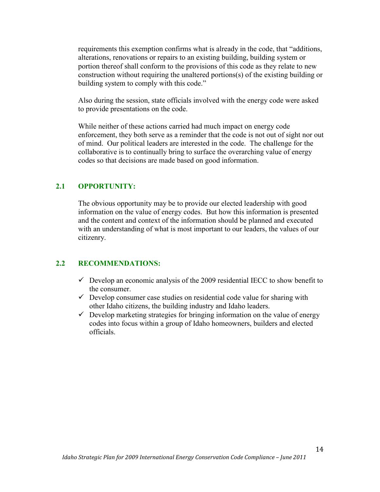requirements this exemption confirms what is already in the code, that "additions, alterations, renovations or repairs to an existing building, building system or portion thereof shall conform to the provisions of this code as they relate to new construction without requiring the unaltered portions(s) of the existing building or building system to comply with this code."

Also during the session, state officials involved with the energy code were asked to provide presentations on the code.

While neither of these actions carried had much impact on energy code enforcement, they both serve as a reminder that the code is not out of sight nor out of mind. Our political leaders are interested in the code. The challenge for the collaborative is to continually bring to surface the overarching value of energy codes so that decisions are made based on good information.

#### **2.1 OPPORTUNITY:**

The obvious opportunity may be to provide our elected leadership with good information on the value of energy codes. But how this information is presented and the content and context of the information should be planned and executed with an understanding of what is most important to our leaders, the values of our citizenry.

#### **2.2 RECOMMENDATIONS:**

- $\checkmark$  Develop an economic analysis of the 2009 residential IECC to show benefit to the consumer.
- $\checkmark$  Develop consumer case studies on residential code value for sharing with other Idaho citizens, the building industry and Idaho leaders.
- $\checkmark$  Develop marketing strategies for bringing information on the value of energy codes into focus within a group of Idaho homeowners, builders and elected officials.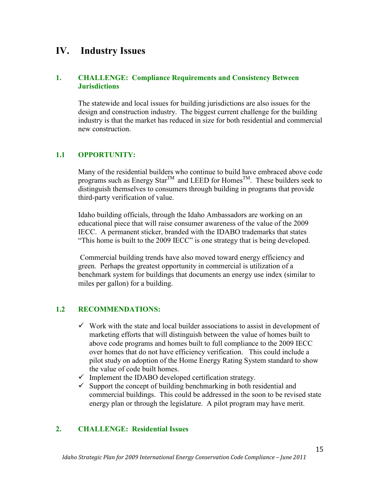### **IV. Industry Issues**

#### **1. CHALLENGE: Compliance Requirements and Consistency Between Jurisdictions**

The statewide and local issues for building jurisdictions are also issues for the design and construction industry. The biggest current challenge for the building industry is that the market has reduced in size for both residential and commercial new construction.

#### **1.1 OPPORTUNITY:**

Many of the residential builders who continue to build have embraced above code programs such as Energy Star<sup>TM</sup> and LEED for Homes<sup>TM</sup>. These builders seek to distinguish themselves to consumers through building in programs that provide third-party verification of value.

Idaho building officials, through the Idaho Ambassadors are working on an educational piece that will raise consumer awareness of the value of the 2009 IECC. A permanent sticker, branded with the IDABO trademarks that states "This home is built to the 2009 IECC" is one strategy that is being developed.

Commercial building trends have also moved toward energy efficiency and green. Perhaps the greatest opportunity in commercial is utilization of a benchmark system for buildings that documents an energy use index (similar to miles per gallon) for a building.

#### **1.2 RECOMMENDATIONS:**

- $\checkmark$  Work with the state and local builder associations to assist in development of marketing efforts that will distinguish between the value of homes built to above code programs and homes built to full compliance to the 2009 IECC over homes that do not have efficiency verification. This could include a pilot study on adoption of the Home Energy Rating System standard to show the value of code built homes.
- $\checkmark$  Implement the IDABO developed certification strategy.
- $\checkmark$  Support the concept of building benchmarking in both residential and commercial buildings. This could be addressed in the soon to be revised state energy plan or through the legislature. A pilot program may have merit.

#### **2. CHALLENGE: Residential Issues**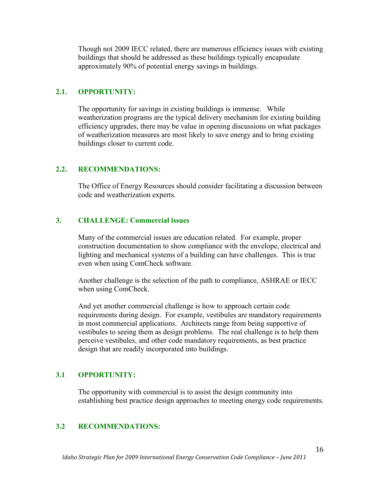Though not 2009 IECC related, there are numerous efficiency issues with existing buildings that should be addressed as these buildings typically encapsulate approximately 90% of potential energy savings in buildings.

#### **2.1. OPPORTUNITY:**

The opportunity for savings in existing buildings is immense. While weatherization programs are the typical delivery mechanism for existing building efficiency upgrades, there may be value in opening discussions on what packages of weatherization measures are most likely to save energy and to bring existing buildings closer to current code.

#### **2.2. RECOMMENDATIONS:**

The Office of Energy Resources should consider facilitating a discussion between code and weatherization experts.

#### **3. CHALLENGE: Commercial issues**

Many of the commercial issues are education related. For example, proper construction documentation to show compliance with the envelope, electrical and lighting and mechanical systems of a building can have challenges. This is true even when using ComCheck software.

Another challenge is the selection of the path to compliance, ASHRAE or IECC when using ComCheck.

And yet another commercial challenge is how to approach certain code requirements during design. For example, vestibules are mandatory requirements in most commercial applications. Architects range from being supportive of vestibules to seeing them as design problems. The real challenge is to help them perceive vestibules, and other code mandatory requirements, as best practice design that are readily incorporated into buildings.

#### **3.1 OPPORTUNITY:**

The opportunity with commercial is to assist the design community into establishing best practice design approaches to meeting energy code requirements.

#### **3.2 RECOMMENDATIONS:**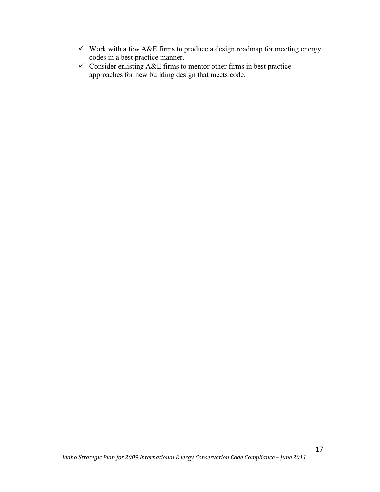- $\checkmark$  Work with a few A&E firms to produce a design roadmap for meeting energy codes in a best practice manner.
- $\checkmark$  Consider enlisting A&E firms to mentor other firms in best practice approaches for new building design that meets code.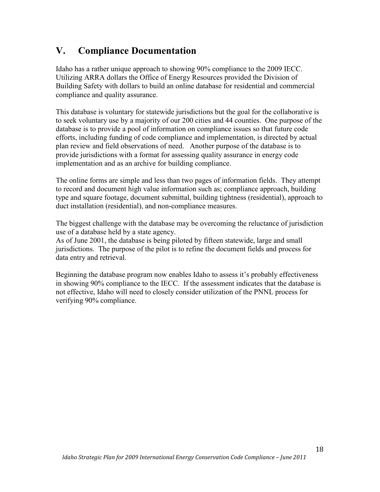## **V. Compliance Documentation**

Idaho has a rather unique approach to showing 90% compliance to the 2009 IECC. Utilizing ARRA dollars the Office of Energy Resources provided the Division of Building Safety with dollars to build an online database for residential and commercial compliance and quality assurance.

This database is voluntary for statewide jurisdictions but the goal for the collaborative is to seek voluntary use by a majority of our 200 cities and 44 counties. One purpose of the database is to provide a pool of information on compliance issues so that future code efforts, including funding of code compliance and implementation, is directed by actual plan review and field observations of need. Another purpose of the database is to provide jurisdictions with a format for assessing quality assurance in energy code implementation and as an archive for building compliance.

The online forms are simple and less than two pages of information fields. They attempt to record and document high value information such as; compliance approach, building type and square footage, document submittal, building tightness (residential), approach to duct installation (residential), and non-compliance measures.

The biggest challenge with the database may be overcoming the reluctance of jurisdiction use of a database held by a state agency.

As of June 2001, the database is being piloted by fifteen statewide, large and small jurisdictions. The purpose of the pilot is to refine the document fields and process for data entry and retrieval.

Beginning the database program now enables Idaho to assess it's probably effectiveness in showing 90% compliance to the IECC. If the assessment indicates that the database is not effective, Idaho will need to closely consider utilization of the PNNL process for verifying 90% compliance.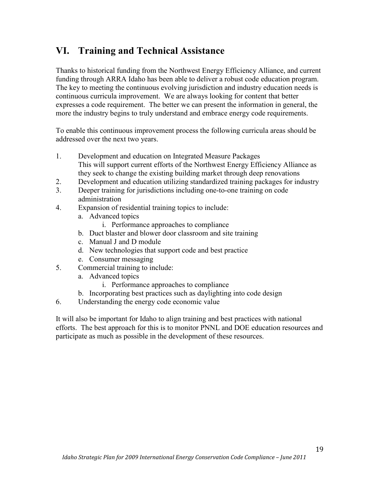## **VI. Training and Technical Assistance**

Thanks to historical funding from the Northwest Energy Efficiency Alliance, and current funding through ARRA Idaho has been able to deliver a robust code education program. The key to meeting the continuous evolving jurisdiction and industry education needs is continuous curricula improvement. We are always looking for content that better expresses a code requirement. The better we can present the information in general, the more the industry begins to truly understand and embrace energy code requirements.

To enable this continuous improvement process the following curricula areas should be addressed over the next two years.

- 1. Development and education on Integrated Measure Packages This will support current efforts of the Northwest Energy Efficiency Alliance as they seek to change the existing building market through deep renovations
- 2. Development and education utilizing standardized training packages for industry
- 3. Deeper training for jurisdictions including one-to-one training on code administration
- 4. Expansion of residential training topics to include:
	- a. Advanced topics
		- i. Performance approaches to compliance
	- b. Duct blaster and blower door classroom and site training
	- c. Manual J and D module
	- d. New technologies that support code and best practice
	- e. Consumer messaging
- 5. Commercial training to include:
	- a. Advanced topics
		- i. Performance approaches to compliance
	- b. Incorporating best practices such as daylighting into code design
- 6. Understanding the energy code economic value

It will also be important for Idaho to align training and best practices with national efforts. The best approach for this is to monitor PNNL and DOE education resources and participate as much as possible in the development of these resources.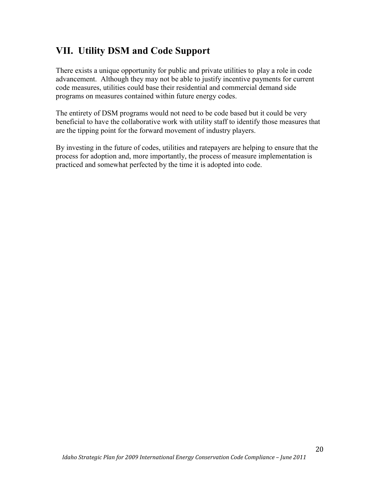## **VII. Utility DSM and Code Support**

There exists a unique opportunity for public and private utilities to play a role in code advancement. Although they may not be able to justify incentive payments for current code measures, utilities could base their residential and commercial demand side programs on measures contained within future energy codes.

The entirety of DSM programs would not need to be code based but it could be very beneficial to have the collaborative work with utility staff to identify those measures that are the tipping point for the forward movement of industry players.

By investing in the future of codes, utilities and ratepayers are helping to ensure that the process for adoption and, more importantly, the process of measure implementation is practiced and somewhat perfected by the time it is adopted into code.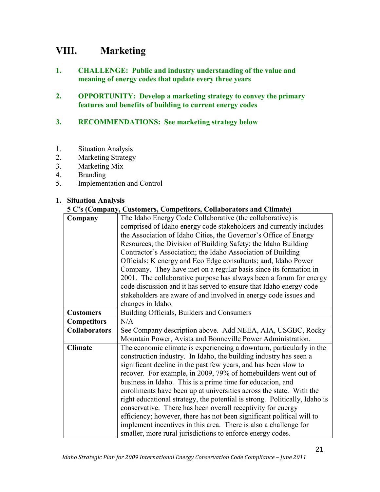## **VIII. Marketing**

- **1. CHALLENGE: Public and industry understanding of the value and meaning of energy codes that update every three years**
- **2. OPPORTUNITY: Develop a marketing strategy to convey the primary features and benefits of building to current energy codes**

#### **3. RECOMMENDATIONS: See marketing strategy below**

- 1. Situation Analysis
- 2. Marketing Strategy
- 3. Marketing Mix
- 4. Branding
- 5. Implementation and Control

#### **1. Situation Analysis**

#### **5 C's (Company, Customers, Competitors, Collaborators and Climate)**

|                      | $p_{\text{max}}, p_{\text{max}}, p_{\text{max}}, p_{\text{max}}, p_{\text{max}}, p_{\text{max}}, p_{\text{max}}$ |  |  |
|----------------------|------------------------------------------------------------------------------------------------------------------|--|--|
| Company              | The Idaho Energy Code Collaborative (the collaborative) is                                                       |  |  |
|                      | comprised of Idaho energy code stakeholders and currently includes                                               |  |  |
|                      | the Association of Idaho Cities, the Governor's Office of Energy                                                 |  |  |
|                      | Resources; the Division of Building Safety; the Idaho Building                                                   |  |  |
|                      | Contractor's Association; the Idaho Association of Building                                                      |  |  |
|                      | Officials; K energy and Eco Edge consultants; and, Idaho Power                                                   |  |  |
|                      | Company. They have met on a regular basis since its formation in                                                 |  |  |
|                      | 2001. The collaborative purpose has always been a forum for energy                                               |  |  |
|                      | code discussion and it has served to ensure that Idaho energy code                                               |  |  |
|                      | stakeholders are aware of and involved in energy code issues and                                                 |  |  |
|                      | changes in Idaho.                                                                                                |  |  |
| <b>Customers</b>     | Building Officials, Builders and Consumers                                                                       |  |  |
| <b>Competitors</b>   | N/A                                                                                                              |  |  |
| <b>Collaborators</b> | See Company description above. Add NEEA, AIA, USGBC, Rocky                                                       |  |  |
|                      | Mountain Power, Avista and Bonneville Power Administration.                                                      |  |  |
| <b>Climate</b>       | The economic climate is experiencing a downturn, particularly in the                                             |  |  |
|                      | construction industry. In Idaho, the building industry has seen a                                                |  |  |
|                      | significant decline in the past few years, and has been slow to                                                  |  |  |
|                      | recover. For example, in 2009, 79% of homebuilders went out of                                                   |  |  |
|                      | business in Idaho. This is a prime time for education, and                                                       |  |  |
|                      | enrollments have been up at universities across the state. With the                                              |  |  |
|                      | right educational strategy, the potential is strong. Politically, Idaho is                                       |  |  |
|                      | conservative. There has been overall receptivity for energy                                                      |  |  |
|                      | efficiency; however, there has not been significant political will to                                            |  |  |
|                      | implement incentives in this area. There is also a challenge for                                                 |  |  |
|                      | smaller, more rural jurisdictions to enforce energy codes.                                                       |  |  |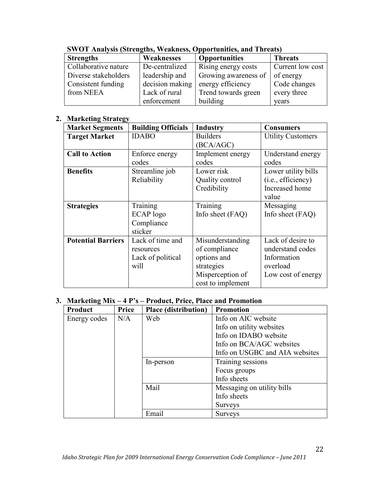| <b>Strengths</b>     | Weaknesses      | <b>Opportunities</b> | <b>Threats</b>   |
|----------------------|-----------------|----------------------|------------------|
| Collaborative nature | De-centralized  | Rising energy costs  | Current low cost |
| Diverse stakeholders | leadership and  | Growing awareness of | of energy        |
| Consistent funding   | decision making | energy efficiency    | Code changes     |
| from NEEA            | Lack of rural   | Trend towards green  | every three      |
|                      | enforcement     | building             | years            |

#### **SWOT Analysis (Strengths, Weakness, Opportunities, and Threats)**

#### **2. Marketing Strategy**

| <b>Market Segments</b>    | <b>Building Officials</b> | <b>Industry</b>   | <b>Consumers</b>         |
|---------------------------|---------------------------|-------------------|--------------------------|
| <b>Target Market</b>      | <b>IDABO</b>              | <b>Builders</b>   | <b>Utility Customers</b> |
|                           |                           | (BCA/AGC)         |                          |
| <b>Call to Action</b>     | Enforce energy            | Implement energy  | Understand energy        |
|                           | codes                     | codes             | codes                    |
| <b>Benefits</b>           | Streamline job            | Lower risk        | Lower utility bills      |
|                           | Reliability               | Quality control   | (i.e., efficiency)       |
|                           |                           | Credibility       | Increased home           |
|                           |                           |                   | value                    |
| <b>Strategies</b>         | Training                  | Training          | Messaging                |
|                           | ECAP logo                 | Info sheet (FAQ)  | Info sheet (FAQ)         |
|                           | Compliance                |                   |                          |
|                           | sticker                   |                   |                          |
| <b>Potential Barriers</b> | Lack of time and          | Misunderstanding  | Lack of desire to        |
|                           | resources                 | of compliance     | understand codes         |
|                           | Lack of political         | options and       | Information              |
|                           | will                      | strategies        | overload                 |
|                           |                           | Misperception of  | Low cost of energy       |
|                           |                           | cost to implement |                          |

#### **3. Marketing Mix – 4 P's – Product, Price, Place and Promotion**

| <b>Product</b> | Price | <b>Place (distribution)</b> | <b>Promotion</b>               |
|----------------|-------|-----------------------------|--------------------------------|
| Energy codes   | N/A   | Web                         | Info on AIC website            |
|                |       |                             | Info on utility websites       |
|                |       |                             | Info on IDABO website          |
|                |       |                             | Info on BCA/AGC websites       |
|                |       |                             | Info on USGBC and AIA websites |
|                |       | In-person                   | Training sessions              |
|                |       |                             | Focus groups                   |
|                |       |                             | Info sheets                    |
|                |       | Mail                        | Messaging on utility bills     |
|                |       |                             | Info sheets                    |
|                |       |                             | <b>Surveys</b>                 |
|                |       | Email                       | <b>Surveys</b>                 |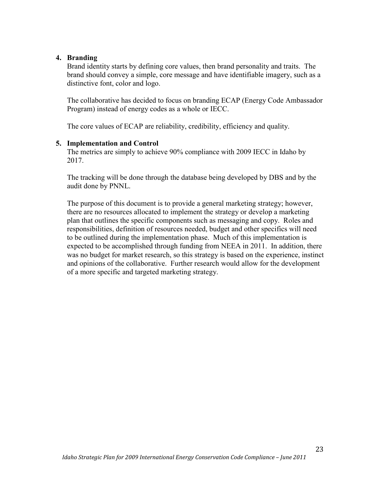#### **4. Branding**

Brand identity starts by defining core values, then brand personality and traits. The brand should convey a simple, core message and have identifiable imagery, such as a distinctive font, color and logo.

The collaborative has decided to focus on branding ECAP (Energy Code Ambassador Program) instead of energy codes as a whole or IECC.

The core values of ECAP are reliability, credibility, efficiency and quality.

#### **5. Implementation and Control**

The metrics are simply to achieve 90% compliance with 2009 IECC in Idaho by 2017.

The tracking will be done through the database being developed by DBS and by the audit done by PNNL.

The purpose of this document is to provide a general marketing strategy; however, there are no resources allocated to implement the strategy or develop a marketing plan that outlines the specific components such as messaging and copy. Roles and responsibilities, definition of resources needed, budget and other specifics will need to be outlined during the implementation phase. Much of this implementation is expected to be accomplished through funding from NEEA in 2011. In addition, there was no budget for market research, so this strategy is based on the experience, instinct and opinions of the collaborative. Further research would allow for the development of a more specific and targeted marketing strategy.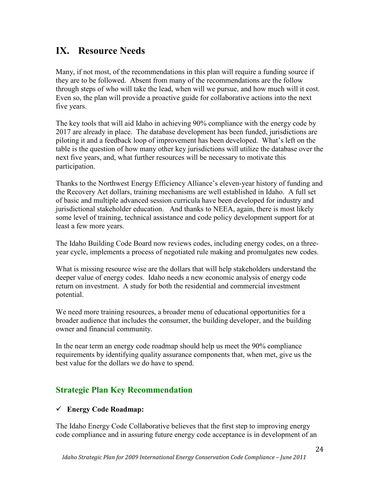## **IX. Resource Needs**

Many, if not most, of the recommendations in this plan will require a funding source if they are to be followed. Absent from many of the recommendations are the follow through steps of who will take the lead, when will we pursue, and how much will it cost. Even so, the plan will provide a proactive guide for collaborative actions into the next five years.

The key tools that will aid Idaho in achieving 90% compliance with the energy code by 2017 are already in place. The database development has been funded, jurisdictions are piloting it and a feedback loop of improvement has been developed. What's left on the table is the question of how many other key jurisdictions will utilize the database over the next five years, and, what further resources will be necessary to motivate this participation.

Thanks to the Northwest Energy Efficiency Alliance's eleven-year history of funding and the Recovery Act dollars, training mechanisms are well established in Idaho. A full set of basic and multiple advanced session curricula have been developed for industry and jurisdictional stakeholder education. And thanks to NEEA, again, there is most likely some level of training, technical assistance and code policy development support for at least a few more years.

The Idaho Building Code Board now reviews codes, including energy codes, on a threeyear cycle, implements a process of negotiated rule making and promulgates new codes.

What is missing resource wise are the dollars that will help stakeholders understand the deeper value of energy codes. Idaho needs a new economic analysis of energy code return on investment. A study for both the residential and commercial investment potential.

We need more training resources, a broader menu of educational opportunities for a broader audience that includes the consumer, the building developer, and the building owner and financial community.

In the near term an energy code roadmap should help us meet the 90% compliance requirements by identifying quality assurance components that, when met, give us the best value for the dollars we do have to spend.

### **Strategic Plan Key Recommendation**

#### **Energy Code Roadmap:**

The Idaho Energy Code Collaborative believes that the first step to improving energy code compliance and in assuring future energy code acceptance is in development of an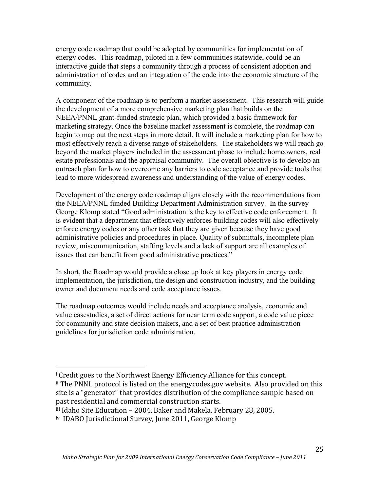energy code roadmap that could be adopted by communities for implementation of energy codes. This roadmap, piloted in a few communities statewide, could be an interactive guide that steps a community through a process of consistent adoption and administration of codes and an integration of the code into the economic structure of the community.

A component of the roadmap is to perform a market assessment. This research will guide the development of a more comprehensive marketing plan that builds on the NEEA/PNNL grant-funded strategic plan, which provided a basic framework for marketing strategy. Once the baseline market assessment is complete, the roadmap can begin to map out the next steps in more detail. It will include a marketing plan for how to most effectively reach a diverse range of stakeholders. The stakeholders we will reach go beyond the market players included in the assessment phase to include homeowners, real estate professionals and the appraisal community. The overall objective is to develop an outreach plan for how to overcome any barriers to code acceptance and provide tools that lead to more widespread awareness and understanding of the value of energy codes.

Development of the energy code roadmap aligns closely with the recommendations from the NEEA/PNNL funded Building Department Administration survey. In the survey George Klomp stated "Good administration is the key to effective code enforcement. It is evident that a department that effectively enforces building codes will also effectively enforce energy codes or any other task that they are given because they have good administrative policies and procedures in place. Quality of submittals, incomplete plan review, miscommunication, staffing levels and a lack of support are all examples of issues that can benefit from good administrative practices."

In short, the Roadmap would provide a close up look at key players in energy code implementation, the jurisdiction, the design and construction industry, and the building owner and document needs and code acceptance issues.

The roadmap outcomes would include needs and acceptance analysis, economic and value casestudies, a set of direct actions for near term code support, a code value piece for community and state decision makers, and a set of best practice administration guidelines for jurisdiction code administration.

<sup>&</sup>lt;sup>i</sup> Credit goes to the Northwest Energy Efficiency Alliance for this concept.

ii The PNNL protocol is listed on the energycodes.gov website. Also provided on this site is a "generator" that provides distribution of the compliance sample based on past residential and commercial construction starts.

iii Idaho Site Education - 2004, Baker and Makela, February 28, 2005.

iv IDABO Jurisdictional Survey, June 2011, George Klomp